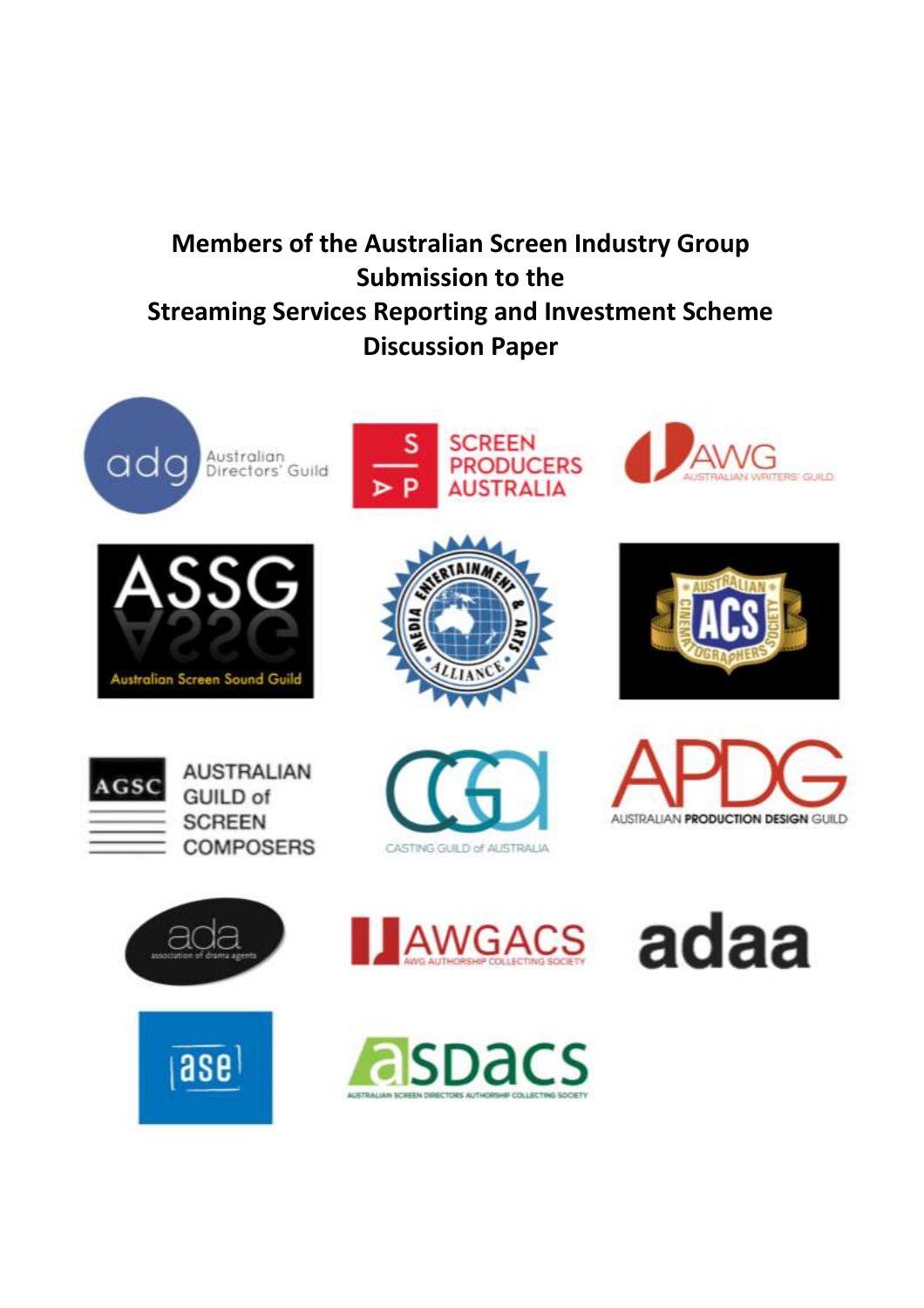# **Members of the Australian Screen Industry Group Submission to the Streaming Services Reporting and Investment Scheme Discussion Paper**









**AS GUID** 













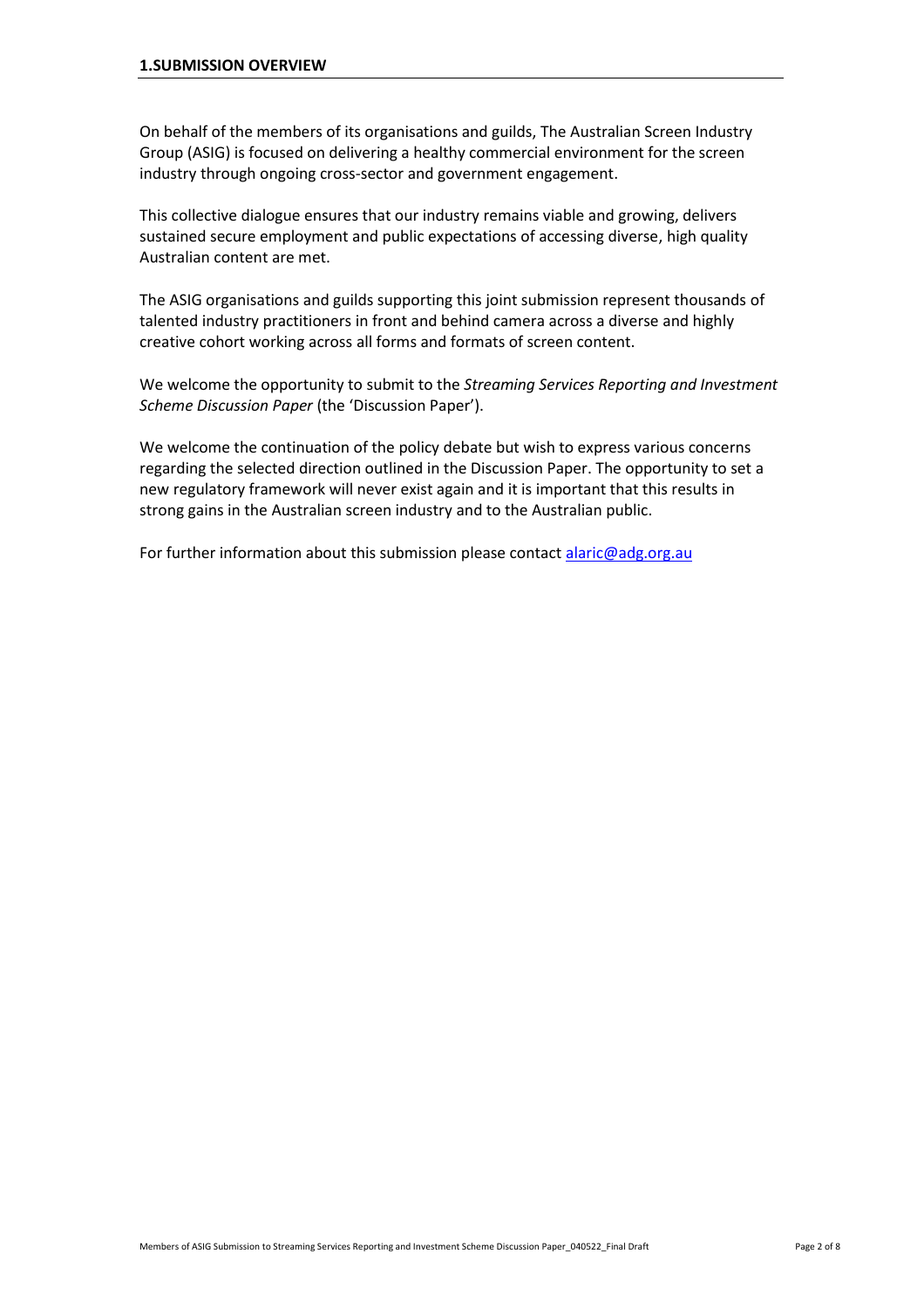On behalf of the members of its organisations and guilds, The Australian Screen Industry Group (ASIG) is focused on delivering a healthy commercial environment for the screen industry through ongoing cross-sector and government engagement.

This collective dialogue ensures that our industry remains viable and growing, delivers sustained secure employment and public expectations of accessing diverse, high quality Australian content are met.

The ASIG organisations and guilds supporting this joint submission represent thousands of talented industry practitioners in front and behind camera across a diverse and highly creative cohort working across all forms and formats of screen content.

We welcome the opportunity to submit to the *Streaming Services Reporting and Investment Scheme Discussion Paper* (the 'Discussion Paper').

We welcome the continuation of the policy debate but wish to express various concerns regarding the selected direction outlined in the Discussion Paper. The opportunity to set a new regulatory framework will never exist again and it is important that this results in strong gains in the Australian screen industry and to the Australian public.

For further information about this submission please contact [alaric@adg.org.au](mailto:alaric@adg.org.au?subject=ASIG%20Submission%20to%20Streaming%20Services%20Reporting%20&%20Investment%20Scheme&%20Investment%20Schem&%20Investment%20Sche&%20Investment%20Sch&%20Investment%20Sc&%20Investment%20S&%20Investment%20&%20Investment&%20Investmen&%20Investme&%20Investm&%20Invest&%20Inves&%20Inve&%20Inv&%20In&%20I&%20IN&%20INv&%20INve&%20INves&%20INvest&%20INvestm&%20INvestme&%20INvestmen&%20INvestment&%20INvestmen&%20INvestme&%20INvestm&%20INvest&%20INves&%20INve&%20INv&%20IN&%20I&%20&&%20&%20I&%20IU&%20IUN&%20IUNv&%20IUNve&%20IUNves&%20IUNvest&%20IUNvestm&%20IUNvestme&%20IUNvestmen&%20IUNvestment&%20IUNvestment%20&%20IUNvestment&%20IUNvestmen&%20IUNvestme&%20IUNvestm&%20IUNvest&%20IUNves&%20IUNve&%20IUNv&%20IUN&%20IU&%20I&%20&)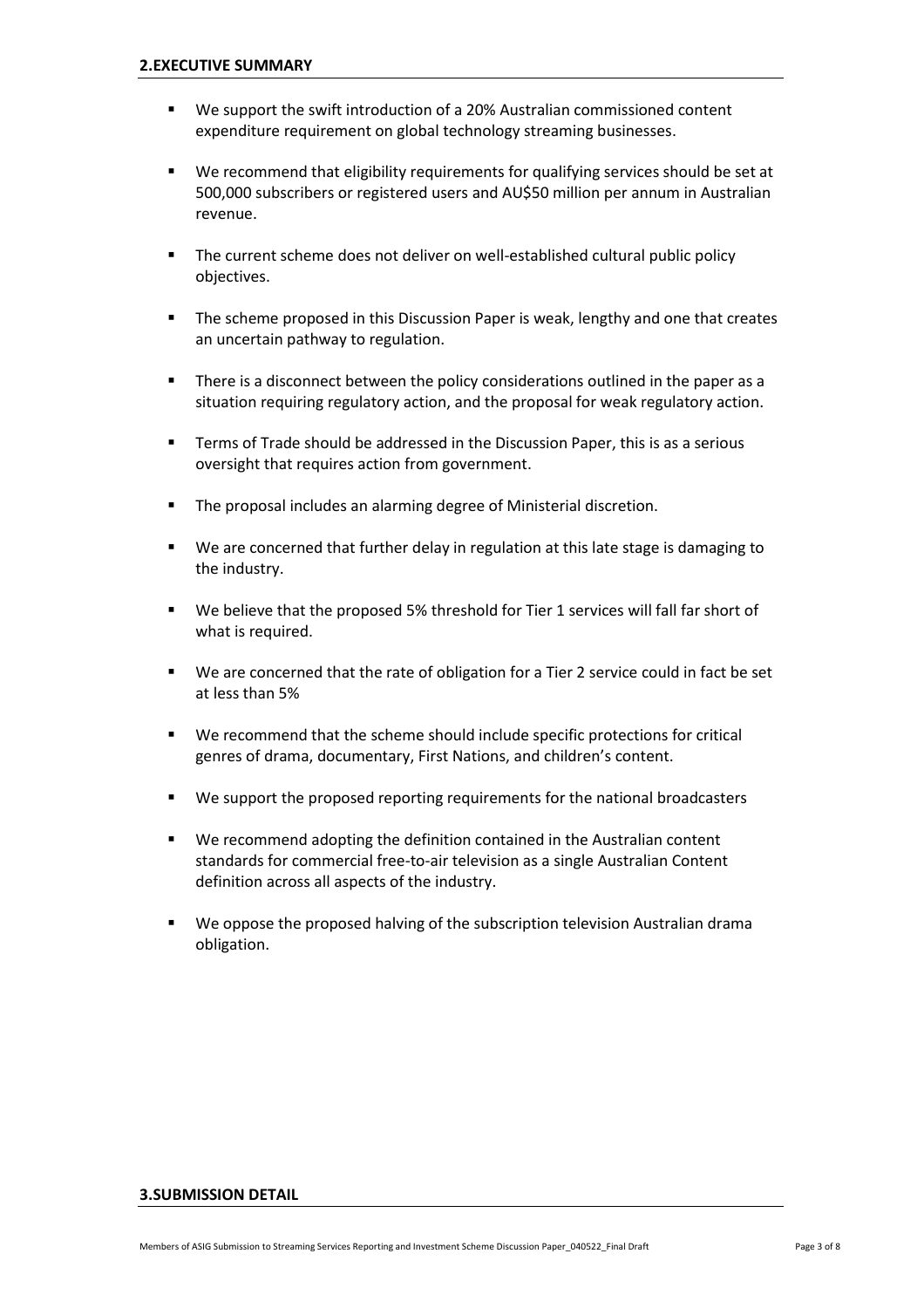- We support the swift introduction of a 20% Australian commissioned content expenditure requirement on global technology streaming businesses.
- We recommend that eligibility requirements for qualifying services should be set at 500,000 subscribers or registered users and AU\$50 million per annum in Australian revenue.
- **The current scheme does not deliver on well-established cultural public policy** objectives.
- The scheme proposed in this Discussion Paper is weak, lengthy and one that creates an uncertain pathway to regulation.
- **There is a disconnect between the policy considerations outlined in the paper as a** situation requiring regulatory action, and the proposal for weak regulatory action.
- **Terms of Trade should be addressed in the Discussion Paper, this is as a serious** oversight that requires action from government.
- The proposal includes an alarming degree of Ministerial discretion.
- We are concerned that further delay in regulation at this late stage is damaging to the industry.
- We believe that the proposed 5% threshold for Tier 1 services will fall far short of what is required.
- We are concerned that the rate of obligation for a Tier 2 service could in fact be set at less than 5%
- We recommend that the scheme should include specific protections for critical genres of drama, documentary, First Nations, and children's content.
- We support the proposed reporting requirements for the national broadcasters
- We recommend adopting the definition contained in the Australian content standards for commercial free-to-air television as a single Australian Content definition across all aspects of the industry.
- We oppose the proposed halving of the subscription television Australian drama obligation.

#### **3.SUBMISSION DETAIL**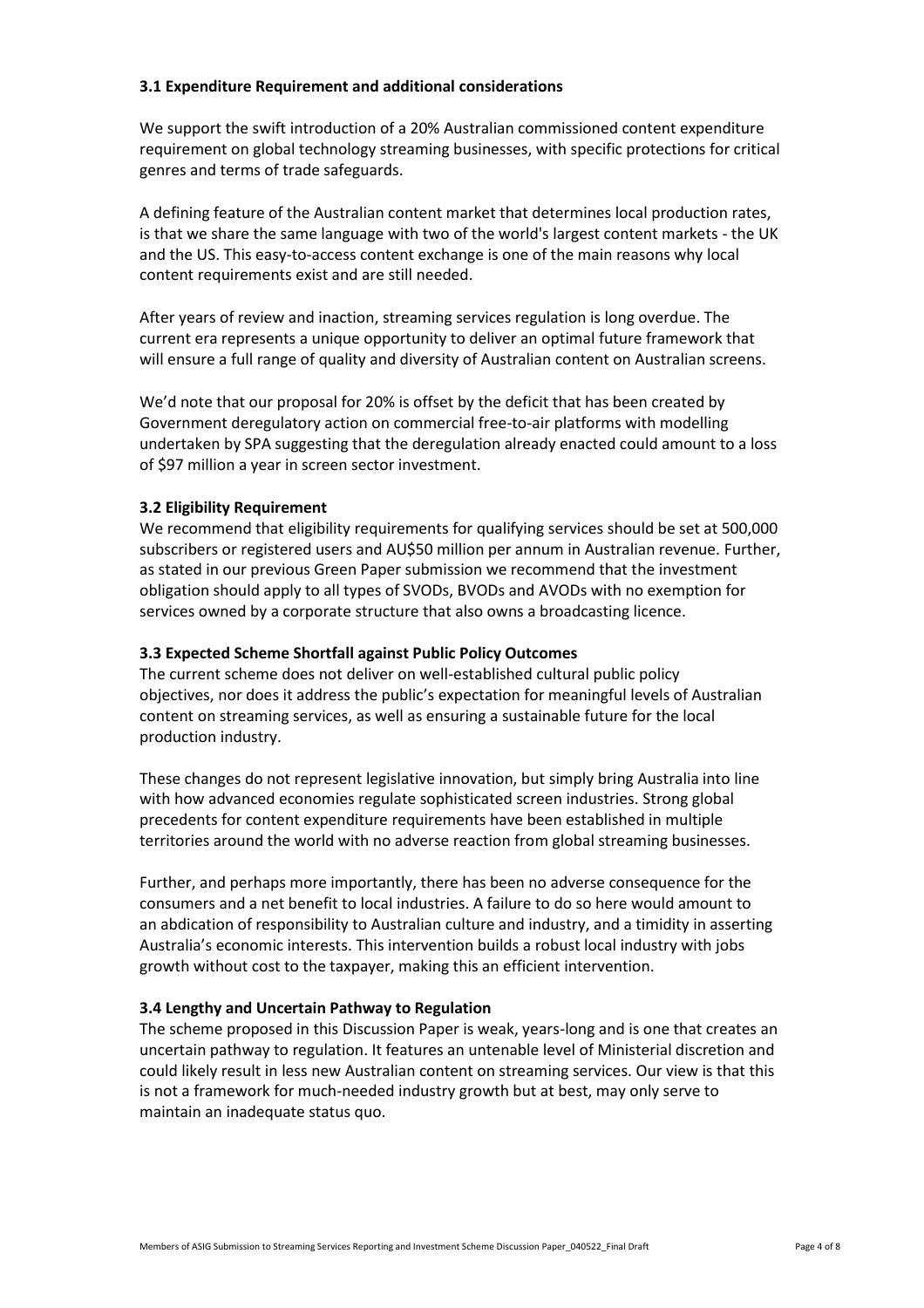#### **3.1 Expenditure Requirement and additional considerations**

We support the swift introduction of a 20% Australian commissioned content expenditure requirement on global technology streaming businesses, with specific protections for critical genres and terms of trade safeguards.

A defining feature of the Australian content market that determines local production rates, is that we share the same language with two of the world's largest content markets - the UK and the US. This easy-to-access content exchange is one of the main reasons why local content requirements exist and are still needed.

After years of review and inaction, streaming services regulation is long overdue. The current era represents a unique opportunity to deliver an optimal future framework that will ensure a full range of quality and diversity of Australian content on Australian screens.

We'd note that our proposal for 20% is offset by the deficit that has been created by Government deregulatory action on commercial free-to-air platforms with modelling undertaken by SPA suggesting that the deregulation already enacted could amount to a loss of \$97 million a year in screen sector investment.

## **3.2 Eligibility Requirement**

We recommend that eligibility requirements for qualifying services should be set at 500,000 subscribers or registered users and AU\$50 million per annum in Australian revenue. Further, as stated in our previous Green Paper submission we recommend that the investment obligation should apply to all types of SVODs, BVODs and AVODs with no exemption for services owned by a corporate structure that also owns a broadcasting licence.

#### **3.3 Expected Scheme Shortfall against Public Policy Outcomes**

The current scheme does not deliver on well-established cultural public policy objectives, nor does it address the public's expectation for meaningful levels of Australian content on streaming services, as well as ensuring a sustainable future for the local production industry.

These changes do not represent legislative innovation, but simply bring Australia into line with how advanced economies regulate sophisticated screen industries. Strong global precedents for content expenditure requirements have been established in multiple territories around the world with no adverse reaction from global streaming businesses.

Further, and perhaps more importantly, there has been no adverse consequence for the consumers and a net benefit to local industries. A failure to do so here would amount to an abdication of responsibility to Australian culture and industry, and a timidity in asserting Australia's economic interests. This intervention builds a robust local industry with jobs growth without cost to the taxpayer, making this an efficient intervention.

#### **3.4 Lengthy and Uncertain Pathway to Regulation**

The scheme proposed in this Discussion Paper is weak, years-long and is one that creates an uncertain pathway to regulation. It features an untenable level of Ministerial discretion and could likely result in less new Australian content on streaming services. Our view is that this is not a framework for much-needed industry growth but at best, may only serve to maintain an inadequate status quo.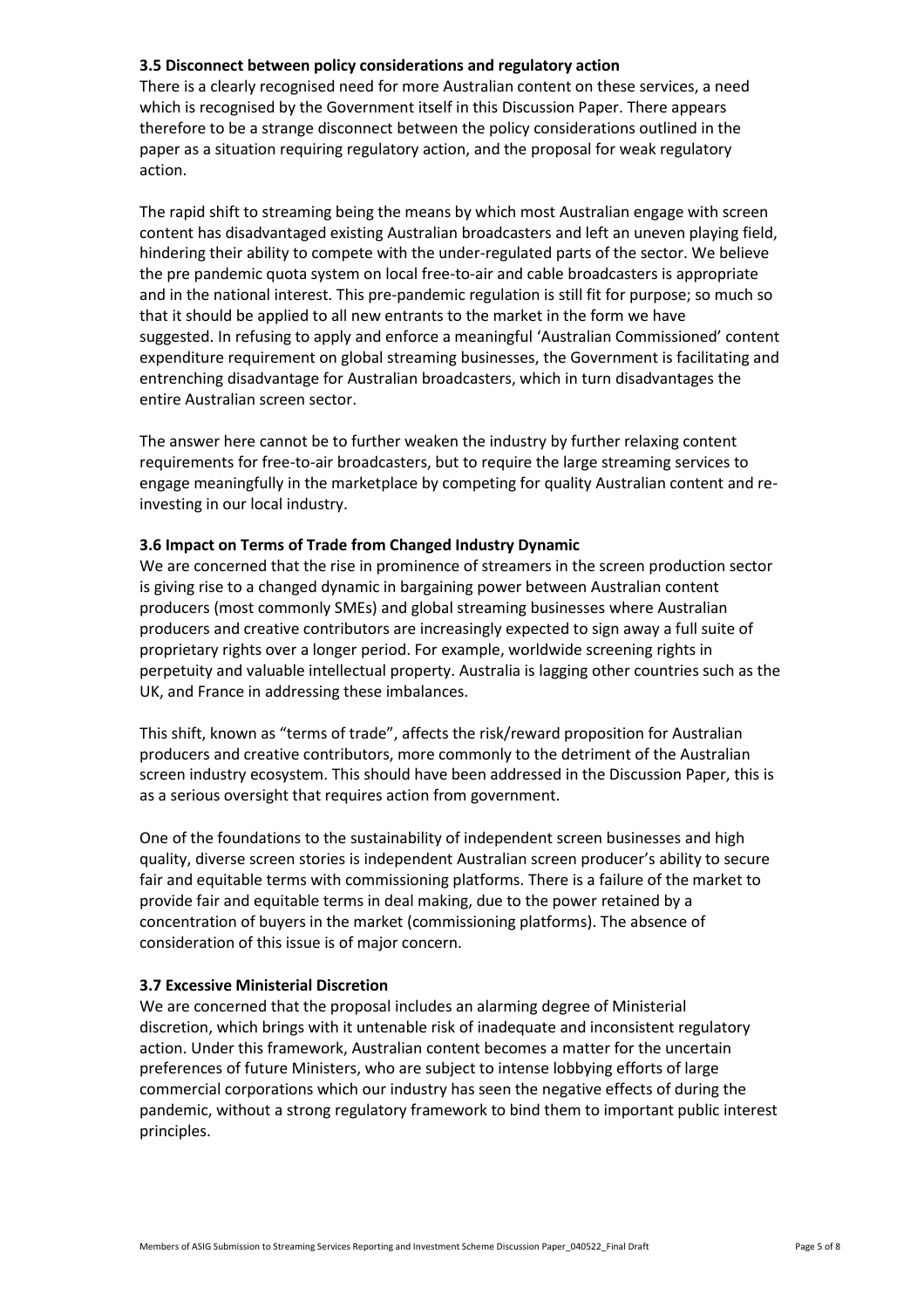## **3.5 Disconnect between policy considerations and regulatory action**

There is a clearly recognised need for more Australian content on these services, a need which is recognised by the Government itself in this Discussion Paper. There appears therefore to be a strange disconnect between the policy considerations outlined in the paper as a situation requiring regulatory action, and the proposal for weak regulatory action.

The rapid shift to streaming being the means by which most Australian engage with screen content has disadvantaged existing Australian broadcasters and left an uneven playing field, hindering their ability to compete with the under-regulated parts of the sector. We believe the pre pandemic quota system on local free-to-air and cable broadcasters is appropriate and in the national interest. This pre-pandemic regulation is still fit for purpose; so much so that it should be applied to all new entrants to the market in the form we have suggested. In refusing to apply and enforce a meaningful 'Australian Commissioned' content expenditure requirement on global streaming businesses, the Government is facilitating and entrenching disadvantage for Australian broadcasters, which in turn disadvantages the entire Australian screen sector.

The answer here cannot be to further weaken the industry by further relaxing content requirements for free-to-air broadcasters, but to require the large streaming services to engage meaningfully in the marketplace by competing for quality Australian content and reinvesting in our local industry.

#### **3.6 Impact on Terms of Trade from Changed Industry Dynamic**

We are concerned that the rise in prominence of streamers in the screen production sector is giving rise to a changed dynamic in bargaining power between Australian content producers (most commonly SMEs) and global streaming businesses where Australian producers and creative contributors are increasingly expected to sign away a full suite of proprietary rights over a longer period. For example, worldwide screening rights in perpetuity and valuable intellectual property. Australia is lagging other countries such as the UK, and France in addressing these imbalances.

This shift, known as "terms of trade", affects the risk/reward proposition for Australian producers and creative contributors, more commonly to the detriment of the Australian screen industry ecosystem. This should have been addressed in the Discussion Paper, this is as a serious oversight that requires action from government.

One of the foundations to the sustainability of independent screen businesses and high quality, diverse screen stories is independent Australian screen producer's ability to secure fair and equitable terms with commissioning platforms. There is a failure of the market to provide fair and equitable terms in deal making, due to the power retained by a concentration of buyers in the market (commissioning platforms). The absence of consideration of this issue is of major concern.

#### **3.7 Excessive Ministerial Discretion**

We are concerned that the proposal includes an alarming degree of Ministerial discretion, which brings with it untenable risk of inadequate and inconsistent regulatory action. Under this framework, Australian content becomes a matter for the uncertain preferences of future Ministers, who are subject to intense lobbying efforts of large commercial corporations which our industry has seen the negative effects of during the pandemic, without a strong regulatory framework to bind them to important public interest principles.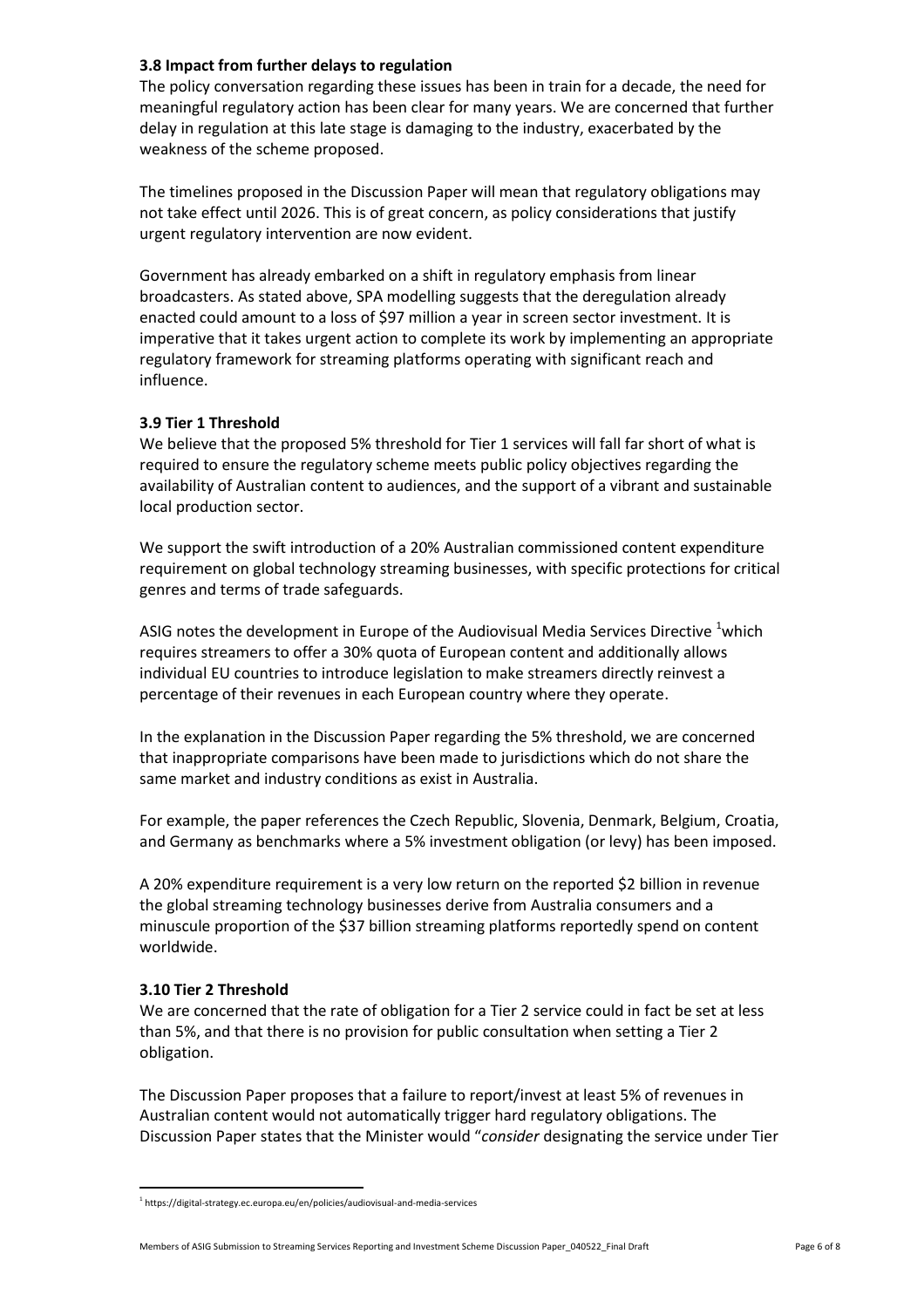## **3.8 Impact from further delays to regulation**

The policy conversation regarding these issues has been in train for a decade, the need for meaningful regulatory action has been clear for many years. We are concerned that further delay in regulation at this late stage is damaging to the industry, exacerbated by the weakness of the scheme proposed.

The timelines proposed in the Discussion Paper will mean that regulatory obligations may not take effect until 2026. This is of great concern, as policy considerations that justify urgent regulatory intervention are now evident.

Government has already embarked on a shift in regulatory emphasis from linear broadcasters. As stated above, SPA modelling suggests that the deregulation already enacted could amount to a loss of \$97 million a year in screen sector investment. It is imperative that it takes urgent action to complete its work by implementing an appropriate regulatory framework for streaming platforms operating with significant reach and influence.

## **3.9 Tier 1 Threshold**

We believe that the proposed 5% threshold for Tier 1 services will fall far short of what is required to ensure the regulatory scheme meets public policy objectives regarding the availability of Australian content to audiences, and the support of a vibrant and sustainable local production sector.

We support the swift introduction of a 20% Australian commissioned content expenditure requirement on global technology streaming businesses, with specific protections for critical genres and terms of trade safeguards.

ASIG notes the development in Europe of the Audiovisual Media Services Directive 'which requires streamers to offer a 30% quota of European content and additionally allows individual EU countries to introduce legislation to make streamers directly reinvest a percentage of their revenues in each European country where they operate.

In the explanation in the Discussion Paper regarding the 5% threshold, we are concerned that inappropriate comparisons have been made to jurisdictions which do not share the same market and industry conditions as exist in Australia.

For example, the paper references the Czech Republic, Slovenia, Denmark, Belgium, Croatia, and Germany as benchmarks where a 5% investment obligation (or levy) has been imposed.

A 20% expenditure requirement is a very low return on the reported \$2 billion in revenue the global streaming technology businesses derive from Australia consumers and a minuscule proportion of the \$37 billion streaming platforms reportedly spend on content worldwide.

#### **3.10 Tier 2 Threshold**

 $\overline{a}$ 

We are concerned that the rate of obligation for a Tier 2 service could in fact be set at less than 5%, and that there is no provision for public consultation when setting a Tier 2 obligation.

The Discussion Paper proposes that a failure to report/invest at least 5% of revenues in Australian content would not automatically trigger hard regulatory obligations. The Discussion Paper states that the Minister would "*consider* designating the service under Tier

Members of ASIG Submission to Streaming Services Reporting and Investment Scheme Discussion Paper\_040522\_Final Draft Page 6 of 8

<sup>&</sup>lt;sup>1</sup> https://digital-strategy.ec.europa.eu/en/policies/audiovisual-and-media-services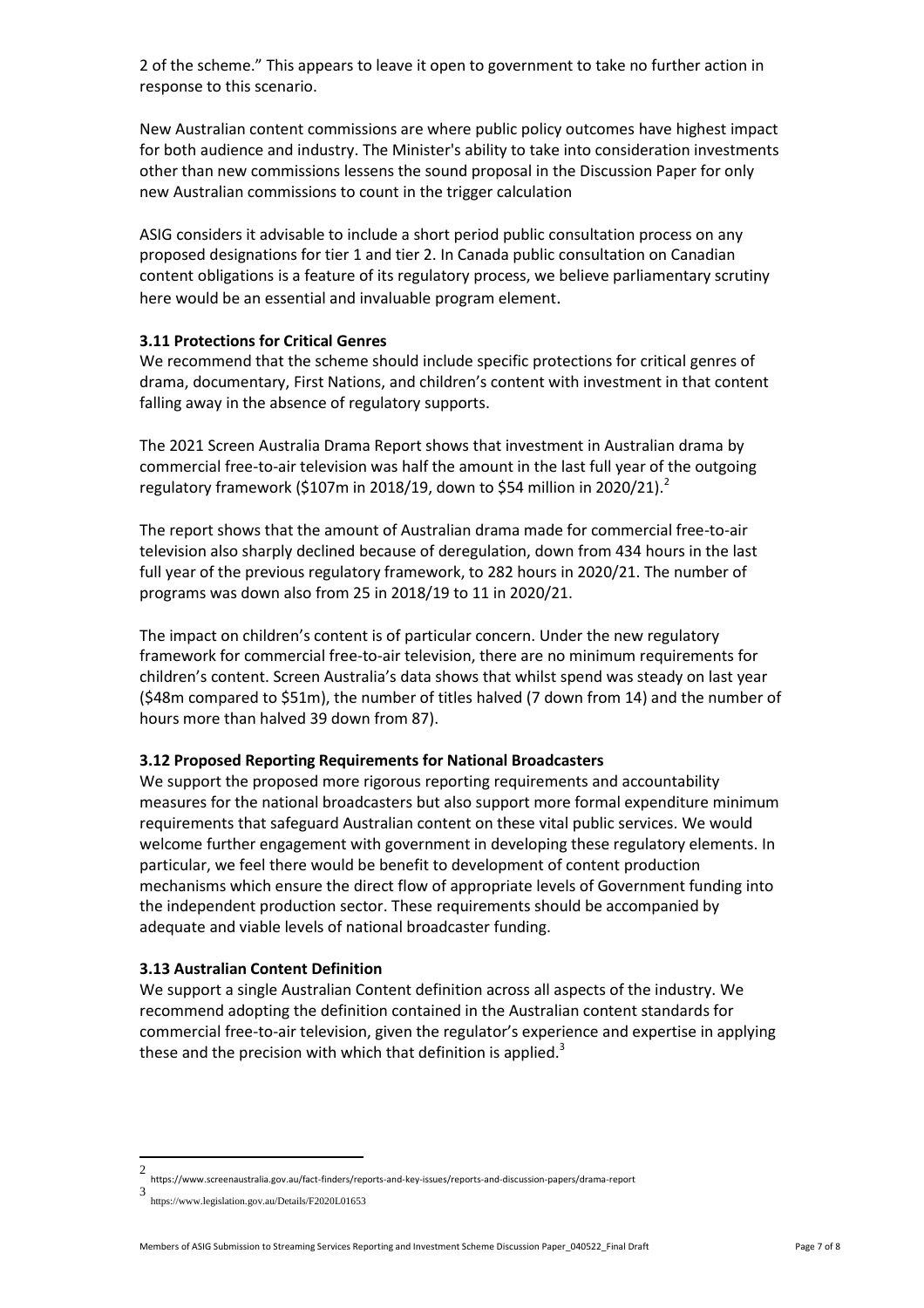2 of the scheme." This appears to leave it open to government to take no further action in response to this scenario.

New Australian content commissions are where public policy outcomes have highest impact for both audience and industry. The Minister's ability to take into consideration investments other than new commissions lessens the sound proposal in the Discussion Paper for only new Australian commissions to count in the trigger calculation

ASIG considers it advisable to include a short period public consultation process on any proposed designations for tier 1 and tier 2. In Canada public consultation on Canadian content obligations is a feature of its regulatory process, we believe parliamentary scrutiny here would be an essential and invaluable program element.

#### **3.11 Protections for Critical Genres**

We recommend that the scheme should include specific protections for critical genres of drama, documentary, First Nations, and children's content with investment in that content falling away in the absence of regulatory supports.

The 2021 Screen Australia Drama Report shows that investment in Australian drama by commercial free-to-air television was half the amount in the last full year of the outgoing regulatory framework (\$107m in 2018/19, down to \$54 million in 2020/21).<sup>2</sup>

The report shows that the amount of Australian drama made for commercial free-to-air television also sharply declined because of deregulation, down from 434 hours in the last full year of the previous regulatory framework, to 282 hours in 2020/21. The number of programs was down also from 25 in 2018/19 to 11 in 2020/21.

The impact on children's content is of particular concern. Under the new regulatory framework for commercial free-to-air television, there are no minimum requirements for children's content. Screen Australia's data shows that whilst spend was steady on last year (\$48m compared to \$51m), the number of titles halved (7 down from 14) and the number of hours more than halved 39 down from 87).

#### **3.12 Proposed Reporting Requirements for National Broadcasters**

We support the proposed more rigorous reporting requirements and accountability measures for the national broadcasters but also support more formal expenditure minimum requirements that safeguard Australian content on these vital public services. We would welcome further engagement with government in developing these regulatory elements. In particular, we feel there would be benefit to development of content production mechanisms which ensure the direct flow of appropriate levels of Government funding into the independent production sector. These requirements should be accompanied by adequate and viable levels of national broadcaster funding.

#### **3.13 Australian Content Definition**

We support a single Australian Content definition across all aspects of the industry. We recommend adopting the definition contained in the Australian content standards for commercial free-to-air television, given the regulator's experience and expertise in applying these and the precision with which that definition is applied.<sup>3</sup>

 $\frac{1}{2}$ https://www.screenaustralia.gov.au/fact-finders/reports-and-key-issues/reports-and-discussion-papers/drama-report

<sup>3</sup> https://www.legislation.gov.au/Details/F2020L01653